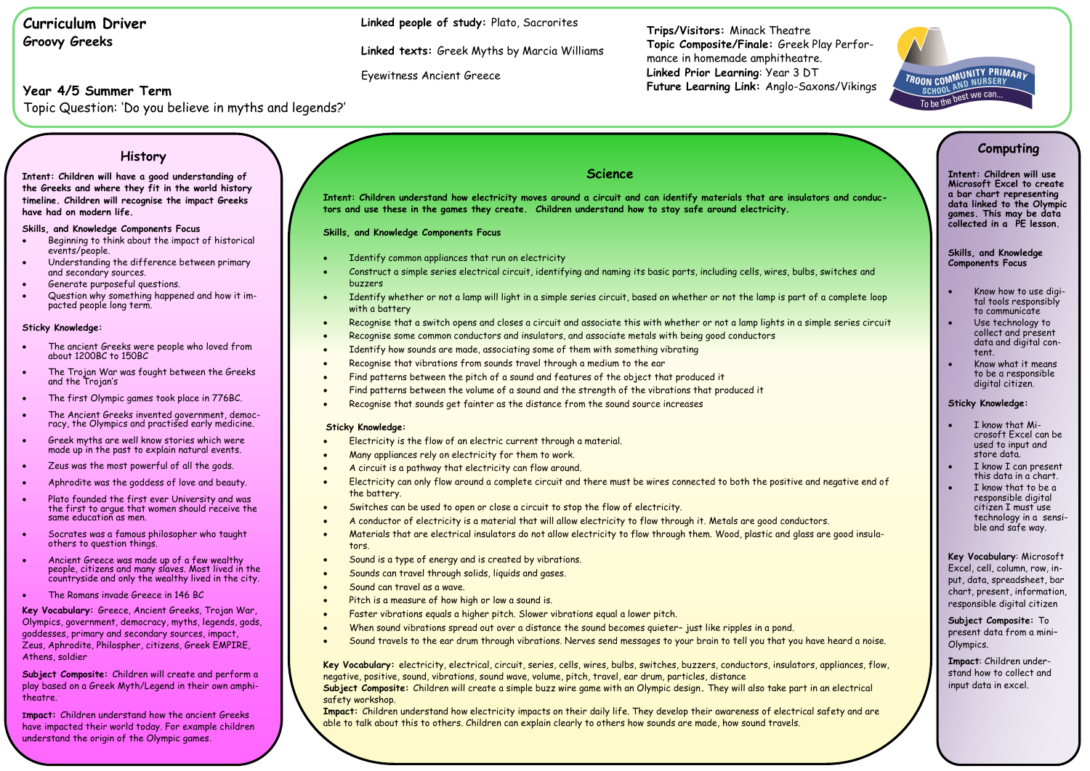# **Curriculum Driver Groovy Greeks**

# **Year 4/5 Summer Term**

Topic Question: 'Do you believe in myths and legends?'

**Trips/Visitors:** Minack Theatre **Topic Composite/Finale:** Greek Play Performance in homemade amphitheatre. **Linked Prior Learning**: Year 3 DT **Future Learning Link:** Anglo-Saxons/Vikings

**Linked people of study:** Plato, Sacrorites

**Linked texts:** Greek Myths by Marcia Williams

Eyewitness Ancient Greece

## **Science**

**Intent: Children understand how electricity moves around a circuit and can identify materials that are insulators and conductors and use these in the games they create. Children understand how to stay safe around electricity.** 

**Skills, and Knowledge Components Focus**

- Identify common appliances that run on electricity
- Construct a simple series electrical circuit, identifying and naming its basic parts, including cells, wires, bulbs, switches and buzzers
- Identify whether or not a lamp will light in a simple series circuit, based on whether or not the lamp is part of a complete loop with a battery
- Recognise that a switch opens and closes a circuit and associate this with whether or not a lamp lights in a simple series circuit
- Recognise some common conductors and insulators, and associate metals with being good conductors
- Identify how sounds are made, associating some of them with something vibrating
- Recognise that vibrations from sounds travel through a medium to the ear
- Find patterns between the pitch of a sound and features of the object that produced it
- Find patterns between the volume of a sound and the strength of the vibrations that produced it
- Recognise that sounds get fainter as the distance from the sound source increases

### **Sticky Knowledge:**

- Electricity is the flow of an electric current through a material.
- Many appliances rely on electricity for them to work.
- A circuit is a pathway that electricity can flow around.
- Electricity can only flow around a complete circuit and there must be wires connected to both the positive and negative end of the battery.
- Switches can be used to open or close a circuit to stop the flow of electricity.
- A conductor of electricity is a material that will allow electricity to flow through it. Metals are good conductors.
- Materials that are electrical insulators do not allow electricity to flow through them. Wood, plastic and glass are good insulators.
- Sound is a type of energy and is created by vibrations.
- Sounds can travel through solids, liquids and gases.
- Sound can travel as a wave.
- Pitch is a measure of how high or low a sound is.
- Faster vibrations equals a higher pitch. Slower vibrations equal a lower pitch.
- When sound vibrations spread out over a distance the sound becomes quieter– just like ripples in a pond.
- Sound travels to the ear drum through vibrations. Nerves send messages to your brain to tell you that you have heard a noise.

**Key Vocabulary:** electricity, electrical, circuit, series, cells, wires, bulbs, switches, buzzers, conductors, insulators, appliances, flow, negative, positive, sound, vibrations, sound wave, volume, pitch, travel, ear drum, particles, distance

**Subject Composite:** Children will create a simple buzz wire game with an Olympic design**.** They will also take part in an electrical safety workshop.

**Impact:** Children understand how electricity impacts on their daily life. They develop their awareness of electrical safety and are able to talk about this to others. Children can explain clearly to others how sounds are made, how sound travels.

## **History**

**Intent: Children will have a good understanding of the Greeks and where they fit in the world history timeline. Children will recognise the impact Greeks have had on modern life.** 

**Skills, and Knowledge Components Focus**

- Beginning to think about the impact of historical events/people.
- Understanding the difference between primary and secondary sources.
- Generate purposeful questions.
- Question why something happened and how it impacted people long term.

### **Sticky Knowledge:**

- The ancient Greeks were people who loved from about 1200BC to 150BC
- The Trojan War was fought between the Greeks and the Trojan's
- The first Olympic games took place in 776BC.
- The Ancient Greeks invented government, democracy, the Olympics and practised early medicine.
- Greek myths are well know stories which were made up in the past to explain natural events.
- Zeus was the most powerful of all the gods.
- Aphrodite was the goddess of love and beauty.
- Plato founded the first ever University and was the first to argue that women should receive the same education as men.
- Socrates was a famous philosopher who taught others to question things.
- Ancient Greece was made up of a few wealthy people, citizens and many slaves. Most lived in the countryside and only the wealthy lived in the city.
- The Romans invade Greece in 146 BC

**Key Vocabulary:** Greece, Ancient Greeks, Trojan War, Olympics, government, democracy, myths, legends, gods, goddesses, primary and secondary sources, impact, Zeus, Aphrodite, Philospher, citizens, Greek EMPIRE, Athens, soldier

**Subject Composite:** Children will create and perform a play based on a Greek Myth/Legend in their own amphitheatre.

**Impact:** Children understand how the ancient Greeks have impacted their world today. For example children understand the origin of the Olympic games.

## **Computing**

TROON COMMUNITY PRIMARY<br>SCHOOL AND NURSERY

**SCHOOL AND TO BEST WE CAN...**<br>To be the best we can...

**Intent: Children will use Microsoft Excel to create a bar chart representing data linked to the Olympic games. This may be data collected in a PE lesson.** 

### **Skills, and Knowledge Components Focus**

- Know how to use digital tools responsibly to communicate
- Use technology to collect and present data and digital content.
- Know what it means to be a responsible digital citizen.

### **Sticky Knowledge:**

- I know that Microsoft Excel can be used to input and store data.
- I know I can present this data in a chart.
- I know that to be a responsible digital citizen I must use technology in a sensible and safe way.

**Key Vocabulary**: Microsoft Excel, cell, column, row, input, data, spreadsheet, bar chart, present, information, responsible digital citizen

**Subject Composite:** To present data from a mini– Olympics.

**Impact**: Children understand how to collect and input data in excel.